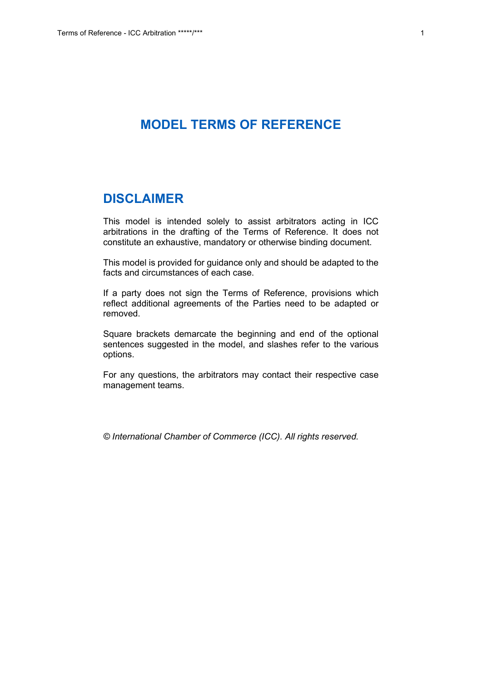# **MODEL TERMS OF REFERENCE**

# **DISCLAIMER**

This model is intended solely to assist arbitrators acting in ICC arbitrations in the drafting of the Terms of Reference. It does not constitute an exhaustive, mandatory or otherwise binding document.

This model is provided for guidance only and should be adapted to the facts and circumstances of each case.

If a party does not sign the Terms of Reference, provisions which reflect additional agreements of the Parties need to be adapted or removed.

Square brackets demarcate the beginning and end of the optional sentences suggested in the model, and slashes refer to the various options.

For any questions, the arbitrators may contact their respective case management teams.

*© International Chamber of Commerce (ICC). All rights reserved.*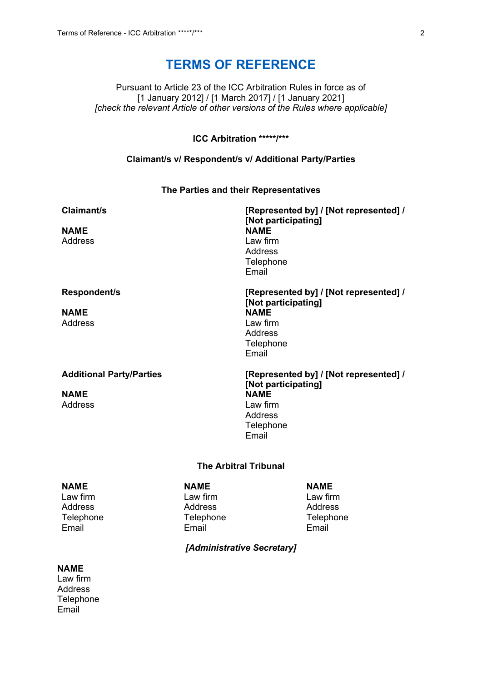# **TERMS OF REFERENCE**

Pursuant to Article 23 of the ICC Arbitration Rules in force as of [1 January 2012] / [1 March 2017] / [1 January 2021] *[check the relevant Article of other versions of the Rules where applicable]*

# **ICC Arbitration \*\*\*\*\*/\*\*\***

#### **Claimant/s v/ Respondent/s v/ Additional Party/Parties**

#### **The Parties and their Representatives**

| Claimant/s                      | [Represented by] / [Not represented] /<br>[Not participating] |
|---------------------------------|---------------------------------------------------------------|
| <b>NAME</b>                     | <b>NAME</b>                                                   |
| Address                         | Law firm                                                      |
|                                 | <b>Address</b>                                                |
|                                 | Telephone<br>Email                                            |
| Respondent/s                    | [Represented by] / [Not represented] /<br>[Not participating] |
| <b>NAME</b>                     | <b>NAME</b>                                                   |
| <b>Address</b>                  | Law firm                                                      |
|                                 | <b>Address</b>                                                |
|                                 | Telephone                                                     |
|                                 | Email                                                         |
| <b>Additional Party/Parties</b> | [Represented by] / [Not represented] /<br>[Not participating] |
| <b>NAME</b>                     | <b>NAME</b>                                                   |
| <b>Address</b>                  | Law firm                                                      |
|                                 | <b>Address</b>                                                |
|                                 | Telephone<br>Email                                            |
|                                 |                                                               |
|                                 |                                                               |

# **The Arbitral Tribunal**

# **NAME** Law firm Address

Telephone Email

# **NAME**

Law firm Address Telephone Email

**NAME** Law firm **Address** Telephone Email

#### *[Administrative Secretary]*

# **NAME**

Law firm Address **Telephone** Email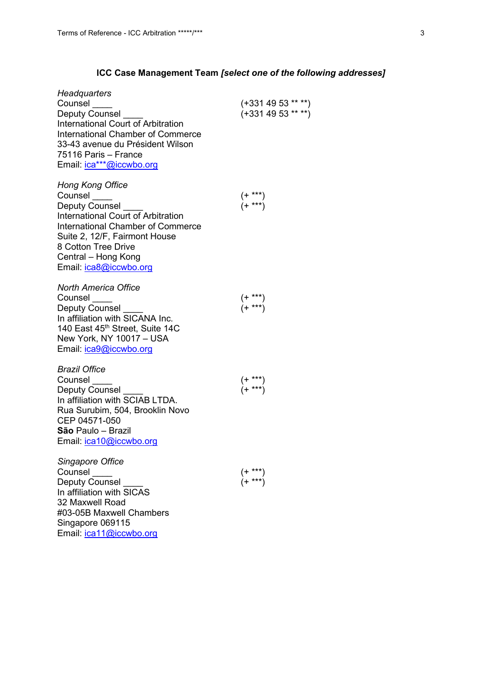# **ICC Case Management Team** *[select one of the following addresses]*

| Headquarters<br>Counsel<br><b>Deputy Counsel</b><br><b>International Court of Arbitration</b><br><b>International Chamber of Commerce</b><br>33-43 avenue du Président Wilson<br>75116 Paris – France<br>Email: <i>ica***@iccwbo.org</i>               | (+331 49 53 ** **)<br>$(+3314953***)$                                                  |
|--------------------------------------------------------------------------------------------------------------------------------------------------------------------------------------------------------------------------------------------------------|----------------------------------------------------------------------------------------|
| <b>Hong Kong Office</b><br>Counsel<br><b>Deputy Counsel</b><br>International Court of Arbitration<br><b>International Chamber of Commerce</b><br>Suite 2, 12/F, Fairmont House<br>8 Cotton Tree Drive<br>Central - Hong Kong<br>Email: ica8@iccwbo.org | (+ ***)<br>(+ ***)                                                                     |
| <b>North America Office</b><br>Counsel<br>Deputy Counsel<br>In affiliation with SICANA Inc.<br>140 East 45th Street, Suite 14C<br>New York, NY 10017 - USA<br>Email: ica9@iccwbo.org                                                                   | $(+ \atop + \atop + \atop + \atop + \atop + \atop + \atop + \atop + \atop + \atop } )$ |
| <b>Brazil Office</b><br>Counsel<br>Deputy Counsel<br>In affiliation with SCIAB LTDA.<br>Rua Surubim, 504, Brooklin Novo<br>CEP 04571-050<br>São Paulo - Brazil<br>Email: ica10@iccwbo.org                                                              | $(+$ ***)<br>$(+$ ***)                                                                 |
| Singapore Office<br>Counsel<br><b>Deputy Counsel</b><br>In affiliation with SICAS<br>32 Maxwell Road<br>#03-05B Maxwell Chambers<br>Singapore 069115<br>Email: <i>ica11@iccwbo.org</i>                                                                 | $\stackrel{(+ \ * \ * \ *)}{(+ \ * \ * \ *)}$                                          |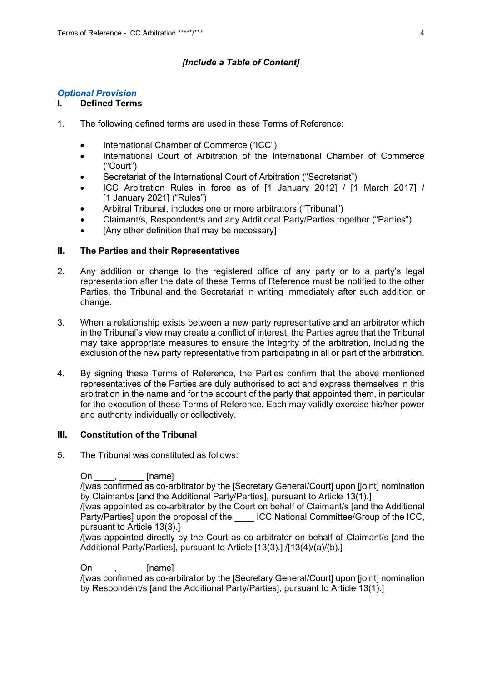# *[Include a Table of Content]*

# *Optional Provision*

# **I. Defined Terms**

- 1. The following defined terms are used in these Terms of Reference:
	- International Chamber of Commerce ("ICC")
	- International Court of Arbitration of the International Chamber of Commerce ("Court")
	- Secretariat of the International Court of Arbitration ("Secretariat")
	- ICC Arbitration Rules in force as of [1 January 2012] / [1 March 2017] / [1 January 2021] ("Rules")
	- Arbitral Tribunal, includes one or more arbitrators ("Tribunal")
	- Claimant/s, Respondent/s and any Additional Party/Parties together ("Parties")
	- [Any other definition that may be necessary]

# **II. The Parties and their Representatives**

- 2. Any addition or change to the registered office of any party or to a party's legal representation after the date of these Terms of Reference must be notified to the other Parties, the Tribunal and the Secretariat in writing immediately after such addition or change.
- 3. When a relationship exists between a new party representative and an arbitrator which in the Tribunal's view may create a conflict of interest, the Parties agree that the Tribunal may take appropriate measures to ensure the integrity of the arbitration, including the exclusion of the new party representative from participating in all or part of the arbitration.
- 4. By signing these Terms of Reference, the Parties confirm that the above mentioned representatives of the Parties are duly authorised to act and express themselves in this arbitration in the name and for the account of the party that appointed them, in particular for the execution of these Terms of Reference. Each may validly exercise his/her power and authority individually or collectively.

# **III. Constitution of the Tribunal**

5. The Tribunal was constituted as follows:

On  $\frac{1}{2}$  [name]

/[was confirmed as co-arbitrator by the [Secretary General/Court] upon [joint] nomination by Claimant/s [and the Additional Party/Parties], pursuant to Article 13(1).]

/[was appointed as co-arbitrator by the Court on behalf of Claimant/s [and the Additional Party/Parties] upon the proposal of the LCC National Committee/Group of the ICC, pursuant to Article 13(3).]

/[was appointed directly by the Court as co-arbitrator on behalf of Claimant/s [and the Additional Party/Parties], pursuant to Article [13(3).] /[13(4)/(a)/(b).]

# On \_\_\_\_, \_\_\_\_\_ [name]

/[was confirmed as co-arbitrator by the [Secretary General/Court] upon [joint] nomination by Respondent/s [and the Additional Party/Parties], pursuant to Article 13(1).]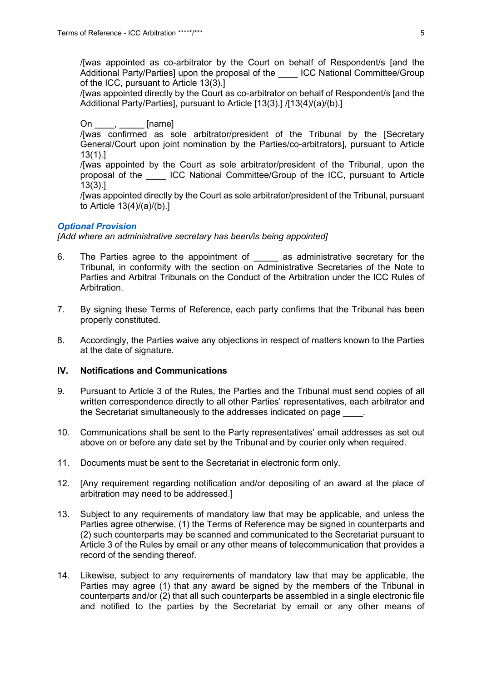/[was appointed as co-arbitrator by the Court on behalf of Respondent/s [and the Additional Party/Parties] upon the proposal of the LCC National Committee/Group of the ICC, pursuant to Article 13(3).]

/[was appointed directly by the Court as co-arbitrator on behalf of Respondent/s [and the Additional Party/Parties], pursuant to Article [13(3).] /[13(4)/(a)/(b).]

On , [name]

/[was confirmed as sole arbitrator/president of the Tribunal by the [Secretary General/Court upon joint nomination by the Parties/co-arbitrators], pursuant to Article 13(1).]

/[was appointed by the Court as sole arbitrator/president of the Tribunal, upon the proposal of the \_\_\_\_ ICC National Committee/Group of the ICC, pursuant to Article 13(3).]

/[was appointed directly by the Court as sole arbitrator/president of the Tribunal, pursuant to Article 13(4)/(a)/(b).]

#### *Optional Provision*

*[Add where an administrative secretary has been/is being appointed]*

- 6. The Parties agree to the appointment of as administrative secretary for the Tribunal, in conformity with the section on Administrative Secretaries of the Note to Parties and Arbitral Tribunals on the Conduct of the Arbitration under the ICC Rules of Arbitration.
- 7. By signing these Terms of Reference, each party confirms that the Tribunal has been properly constituted.
- 8. Accordingly, the Parties waive any objections in respect of matters known to the Parties at the date of signature.

#### **IV. Notifications and Communications**

- 9. Pursuant to Article 3 of the Rules, the Parties and the Tribunal must send copies of all written correspondence directly to all other Parties' representatives, each arbitrator and the Secretariat simultaneously to the addresses indicated on page
- 10. Communications shall be sent to the Party representatives' email addresses as set out above on or before any date set by the Tribunal and by courier only when required.
- 11. Documents must be sent to the Secretariat in electronic form only.
- 12. [Any requirement regarding notification and/or depositing of an award at the place of arbitration may need to be addressed.]
- 13. Subject to any requirements of mandatory law that may be applicable, and unless the Parties agree otherwise, (1) the Terms of Reference may be signed in counterparts and (2) such counterparts may be scanned and communicated to the Secretariat pursuant to Article 3 of the Rules by email or any other means of telecommunication that provides a record of the sending thereof.
- 14. Likewise, subject to any requirements of mandatory law that may be applicable, the Parties may agree (1) that any award be signed by the members of the Tribunal in counterparts and/or (2) that all such counterparts be assembled in a single electronic file and notified to the parties by the Secretariat by email or any other means of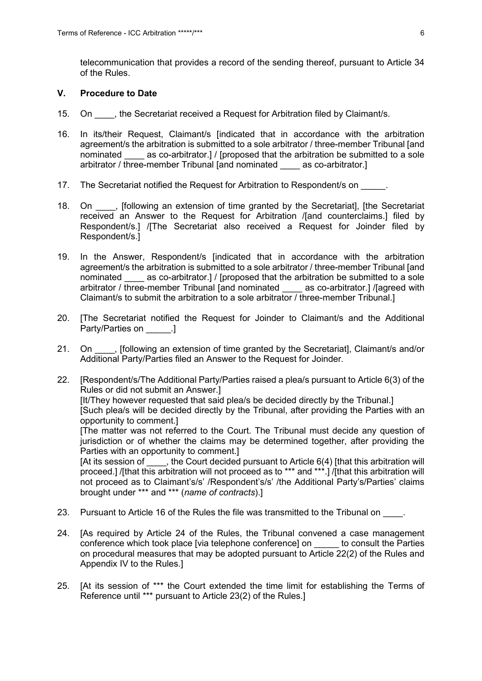telecommunication that provides a record of the sending thereof, pursuant to Article 34 of the Rules.

### **V. Procedure to Date**

- 15. On fith a Secretariat received a Request for Arbitration filed by Claimant/s.
- 16. In its/their Request, Claimant/s [indicated that in accordance with the arbitration agreement/s the arbitration is submitted to a sole arbitrator / three-member Tribunal [and nominated as co-arbitrator.] / [proposed that the arbitration be submitted to a sole arbitrator / three-member Tribunal [and nominated \_\_\_\_ as co-arbitrator.]
- 17. The Secretariat notified the Request for Arbitration to Respondent/s on  $\blacksquare$ .
- 18. On following an extension of time granted by the Secretariat, [the Secretariat] received an Answer to the Request for Arbitration /[and counterclaims.] filed by Respondent/s.] /[The Secretariat also received a Request for Joinder filed by Respondent/s.]
- 19. In the Answer, Respondent/s [indicated that in accordance with the arbitration agreement/s the arbitration is submitted to a sole arbitrator / three-member Tribunal [and nominated \_\_\_\_ as co-arbitrator.] / [proposed that the arbitration be submitted to a sole arbitrator / three-member Tribunal [and nominated \_\_\_\_ as co-arbitrator.] /[agreed with Claimant/s to submit the arbitration to a sole arbitrator / three-member Tribunal.]
- 20. [The Secretariat notified the Request for Joinder to Claimant/s and the Additional Party/Parties on **Deal**.
- 21. On  $\blacksquare$ , [following an extension of time granted by the Secretariat], Claimant/s and/or Additional Party/Parties filed an Answer to the Request for Joinder.
- 22. [Respondent/s/The Additional Party/Parties raised a plea/s pursuant to Article 6(3) of the Rules or did not submit an Answer.] [It/They however requested that said plea/s be decided directly by the Tribunal.] [Such plea/s will be decided directly by the Tribunal, after providing the Parties with an opportunity to comment.] [The matter was not referred to the Court. The Tribunal must decide any question of jurisdiction or of whether the claims may be determined together, after providing the Parties with an opportunity to comment.] [At its session of  $\qquad$ , the Court decided pursuant to Article 6(4) [that this arbitration will proceed.] /[that this arbitration will not proceed as to \*\*\* and \*\*\*.] /[that this arbitration will not proceed as to Claimant's/s' /Respondent's/s' /the Additional Party's/Parties' claims brought under \*\*\* and \*\*\* (*name of contracts*).]
- 23. Pursuant to Article 16 of the Rules the file was transmitted to the Tribunal on  $\blacksquare$ .
- 24. [As required by Article 24 of the Rules, the Tribunal convened a case management conference which took place [via telephone conference] on to consult the Parties on procedural measures that may be adopted pursuant to Article 22(2) of the Rules and Appendix IV to the Rules.]
- 25. [At its session of \*\*\* the Court extended the time limit for establishing the Terms of Reference until \*\*\* pursuant to Article 23(2) of the Rules.]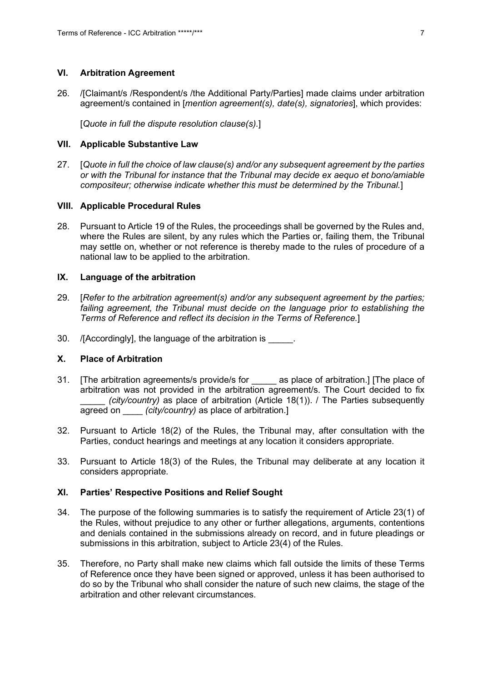#### **VI. Arbitration Agreement**

26. /[Claimant/s /Respondent/s /the Additional Party/Parties] made claims under arbitration agreement/s contained in [*mention agreement(s), date(s), signatories*], which provides:

[*Quote in full the dispute resolution clause(s).*]

#### **VII. Applicable Substantive Law**

27. [*Quote in full the choice of law clause(s) and/or any subsequent agreement by the parties or with the Tribunal for instance that the Tribunal may decide ex aequo et bono/amiable compositeur; otherwise indicate whether this must be determined by the Tribunal.*]

#### **VIII. Applicable Procedural Rules**

28. Pursuant to Article 19 of the Rules, the proceedings shall be governed by the Rules and, where the Rules are silent, by any rules which the Parties or, failing them, the Tribunal may settle on, whether or not reference is thereby made to the rules of procedure of a national law to be applied to the arbitration.

# **IX. Language of the arbitration**

- 29. [*Refer to the arbitration agreement(s) and/or any subsequent agreement by the parties; failing agreement, the Tribunal must decide on the language prior to establishing the Terms of Reference and reflect its decision in the Terms of Reference.*]
- 30. /[Accordingly], the language of the arbitration is \_\_\_\_\_.

# **X. Place of Arbitration**

- 31. [The arbitration agreements/s provide/s for \_\_\_\_\_ as place of arbitration.] [The place of arbitration was not provided in the arbitration agreement/s. The Court decided to fix *(city/country)* as place of arbitration (Article 18(1)). / The Parties subsequently agreed on \_\_\_\_ *(city/country)* as place of arbitration.]
- 32. Pursuant to Article 18(2) of the Rules, the Tribunal may, after consultation with the Parties, conduct hearings and meetings at any location it considers appropriate.
- 33. Pursuant to Article 18(3) of the Rules, the Tribunal may deliberate at any location it considers appropriate.

# **XI. Parties' Respective Positions and Relief Sought**

- 34. The purpose of the following summaries is to satisfy the requirement of Article 23(1) of the Rules, without prejudice to any other or further allegations, arguments, contentions and denials contained in the submissions already on record, and in future pleadings or submissions in this arbitration, subject to Article 23(4) of the Rules.
- 35. Therefore, no Party shall make new claims which fall outside the limits of these Terms of Reference once they have been signed or approved, unless it has been authorised to do so by the Tribunal who shall consider the nature of such new claims, the stage of the arbitration and other relevant circumstances.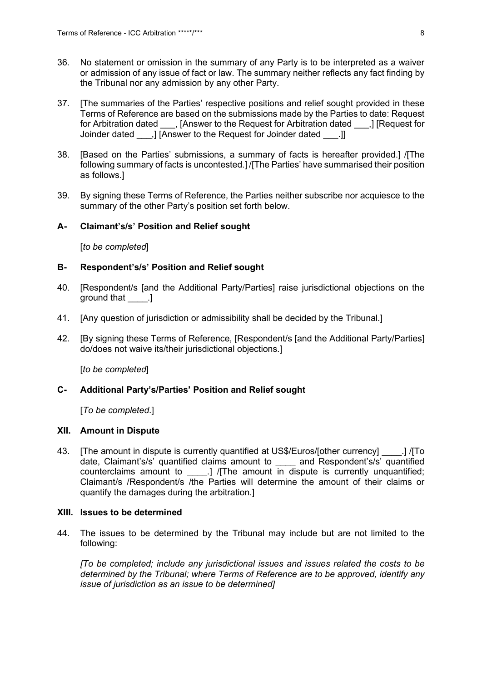- 36. No statement or omission in the summary of any Party is to be interpreted as a waiver or admission of any issue of fact or law. The summary neither reflects any fact finding by the Tribunal nor any admission by any other Party.
- 37. [The summaries of the Parties' respective positions and relief sought provided in these Terms of Reference are based on the submissions made by the Parties to date: Request for Arbitration dated \_\_\_, [Answer to the Request for Arbitration dated \_\_\_,] [Request for Joinder dated ...] [Answer to the Request for Joinder dated ...]]
- 38. [Based on the Parties' submissions, a summary of facts is hereafter provided.] /[The following summary of facts is uncontested.] /[The Parties' have summarised their position as follows.]
- 39. By signing these Terms of Reference, the Parties neither subscribe nor acquiesce to the summary of the other Party's position set forth below.

#### **A- Claimant's/s' Position and Relief sought**

[*to be completed*]

#### **B- Respondent's/s' Position and Relief sought**

- 40. [Respondent/s [and the Additional Party/Parties] raise jurisdictional objections on the around that \_\_\_\_\_.]
- 41. [Any question of jurisdiction or admissibility shall be decided by the Tribunal.]
- 42. [By signing these Terms of Reference, [Respondent/s [and the Additional Party/Parties] do/does not waive its/their jurisdictional objections.]

[*to be completed*]

#### **C- Additional Party's/Parties' Position and Relief sought**

[*To be completed.*]

#### **XII. Amount in Dispute**

43. [The amount in dispute is currently quantified at US\$/Euros/[other currency] \_\_\_\_.] /[To date, Claimant's/s' quantified claims amount to and Respondent's/s' quantified counterclaims amount to \_\_\_\_\_.] /[The amount in dispute is currently unquantified; Claimant/s /Respondent/s /the Parties will determine the amount of their claims or quantify the damages during the arbitration.]

#### **XIII. Issues to be determined**

44. The issues to be determined by the Tribunal may include but are not limited to the following:

*[To be completed; include any jurisdictional issues and issues related the costs to be determined by the Tribunal; where Terms of Reference are to be approved, identify any issue of jurisdiction as an issue to be determined]*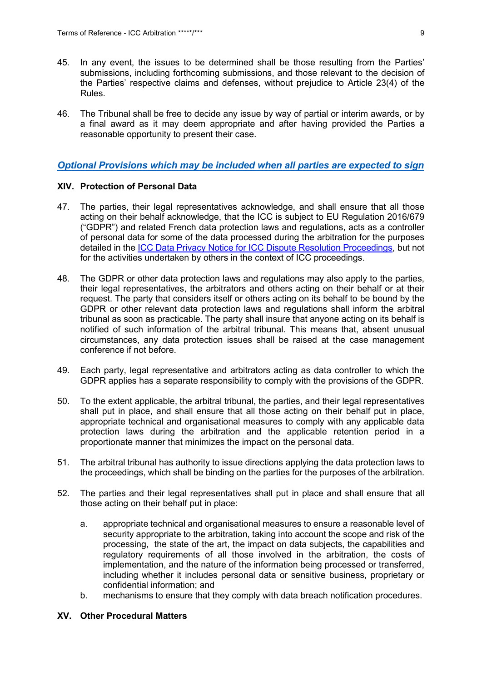- 45. In any event, the issues to be determined shall be those resulting from the Parties' submissions, including forthcoming submissions, and those relevant to the decision of the Parties' respective claims and defenses, without prejudice to Article 23(4) of the Rules.
- 46. The Tribunal shall be free to decide any issue by way of partial or interim awards, or by a final award as it may deem appropriate and after having provided the Parties a reasonable opportunity to present their case.

# *Optional Provisions which may be included when all parties are expected to sign*

#### **XIV. Protection of Personal Data**

- 47. The parties, their legal representatives acknowledge, and shall ensure that all those acting on their behalf acknowledge, that the ICC is subject to EU Regulation 2016/679 ("GDPR") and related French data protection laws and regulations, acts as a controller of personal data for some of the data processed during the arbitration for the purposes detailed in the [ICC Data Privacy Notice for ICC Dispute Resolution Proceedings,](https://iccwbo.org/dispute-resolution-services/icc-data-privacy-notice-for-icc-dispute-resolution-proceedings/) but not for the activities undertaken by others in the context of ICC proceedings.
- 48. The GDPR or other data protection laws and regulations may also apply to the parties, their legal representatives, the arbitrators and others acting on their behalf or at their request. The party that considers itself or others acting on its behalf to be bound by the GDPR or other relevant data protection laws and regulations shall inform the arbitral tribunal as soon as practicable. The party shall insure that anyone acting on its behalf is notified of such information of the arbitral tribunal. This means that, absent unusual circumstances, any data protection issues shall be raised at the case management conference if not before.
- 49. Each party, legal representative and arbitrators acting as data controller to which the GDPR applies has a separate responsibility to comply with the provisions of the GDPR.
- 50. To the extent applicable, the arbitral tribunal, the parties, and their legal representatives shall put in place, and shall ensure that all those acting on their behalf put in place, appropriate technical and organisational measures to comply with any applicable data protection laws during the arbitration and the applicable retention period in a proportionate manner that minimizes the impact on the personal data.
- 51. The arbitral tribunal has authority to issue directions applying the data protection laws to the proceedings, which shall be binding on the parties for the purposes of the arbitration.
- 52. The parties and their legal representatives shall put in place and shall ensure that all those acting on their behalf put in place:
	- a. appropriate technical and organisational measures to ensure a reasonable level of security appropriate to the arbitration, taking into account the scope and risk of the processing, the state of the art, the impact on data subjects, the capabilities and regulatory requirements of all those involved in the arbitration, the costs of implementation, and the nature of the information being processed or transferred, including whether it includes personal data or sensitive business, proprietary or confidential information; and
	- b. mechanisms to ensure that they comply with data breach notification procedures.

## **XV. Other Procedural Matters**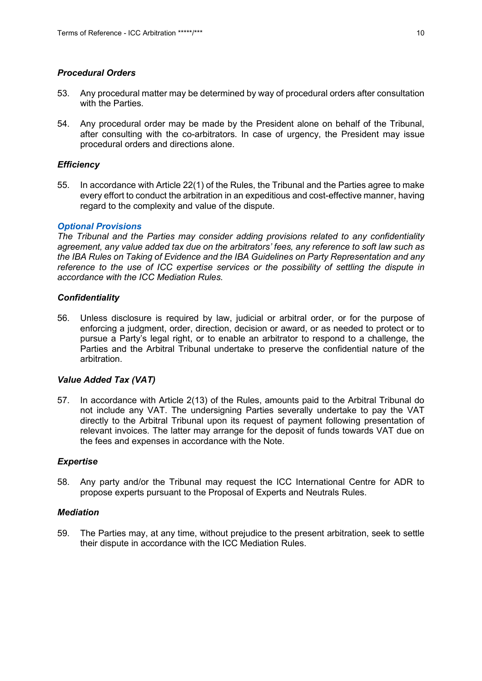# *Procedural Orders*

- 53. Any procedural matter may be determined by way of procedural orders after consultation with the Parties.
- 54. Any procedural order may be made by the President alone on behalf of the Tribunal, after consulting with the co-arbitrators. In case of urgency, the President may issue procedural orders and directions alone.

#### *Efficiency*

55. In accordance with Article 22(1) of the Rules, the Tribunal and the Parties agree to make every effort to conduct the arbitration in an expeditious and cost-effective manner, having regard to the complexity and value of the dispute.

#### *Optional Provisions*

*The Tribunal and the Parties may consider adding provisions related to any confidentiality agreement, any value added tax due on the arbitrators' fees, any reference to soft law such as the IBA Rules on Taking of Evidence and the IBA Guidelines on Party Representation and any reference to the use of ICC expertise services or the possibility of settling the dispute in accordance with the ICC Mediation Rules.*

#### *Confidentiality*

56. Unless disclosure is required by law, judicial or arbitral order, or for the purpose of enforcing a judgment, order, direction, decision or award, or as needed to protect or to pursue a Party's legal right, or to enable an arbitrator to respond to a challenge, the Parties and the Arbitral Tribunal undertake to preserve the confidential nature of the arbitration.

#### *Value Added Tax (VAT)*

57. In accordance with Article 2(13) of the Rules, amounts paid to the Arbitral Tribunal do not include any VAT. The undersigning Parties severally undertake to pay the VAT directly to the Arbitral Tribunal upon its request of payment following presentation of relevant invoices. The latter may arrange for the deposit of funds towards VAT due on the fees and expenses in accordance with the Note.

#### *Expertise*

58. Any party and/or the Tribunal may request the ICC International Centre for ADR to propose experts pursuant to the Proposal of Experts and Neutrals Rules.

### *Mediation*

59. The Parties may, at any time, without prejudice to the present arbitration, seek to settle their dispute in accordance with the ICC Mediation Rules.